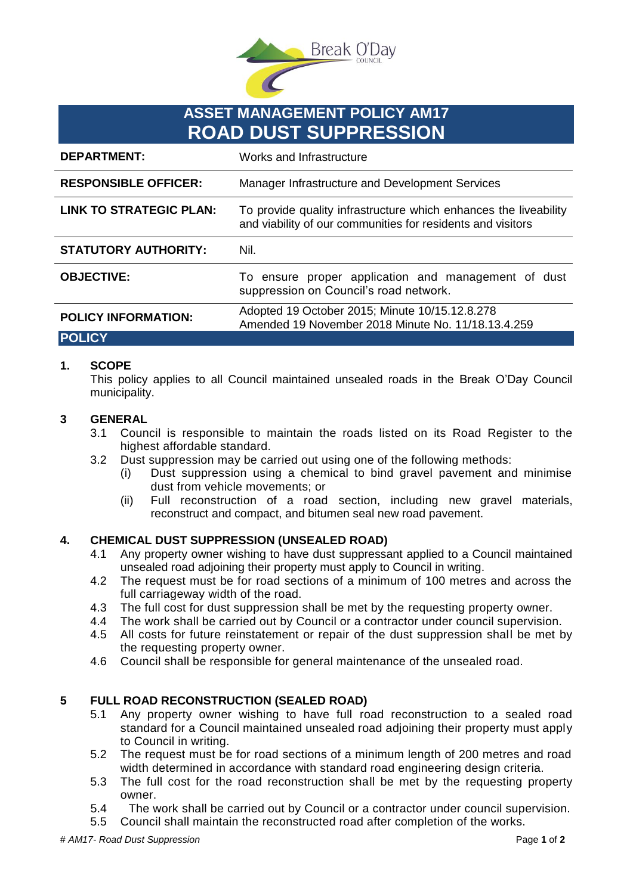

# **ASSET MANAGEMENT POLICY AM17 ROAD DUST SUPPRESSION**

| <b>DEPARTMENT:</b>             | Works and Infrastructure                                                                                                        |
|--------------------------------|---------------------------------------------------------------------------------------------------------------------------------|
| <b>RESPONSIBLE OFFICER:</b>    | Manager Infrastructure and Development Services                                                                                 |
| <b>LINK TO STRATEGIC PLAN:</b> | To provide quality infrastructure which enhances the liveability<br>and viability of our communities for residents and visitors |
| <b>STATUTORY AUTHORITY:</b>    | Nil.                                                                                                                            |
| <b>OBJECTIVE:</b>              | To ensure proper application and management of dust<br>suppression on Council's road network.                                   |
| <b>POLICY INFORMATION:</b>     | Adopted 19 October 2015; Minute 10/15.12.8.278<br>Amended 19 November 2018 Minute No. 11/18.13.4.259                            |
| <b>POLICY</b>                  |                                                                                                                                 |

# **1. SCOPE**

This policy applies to all Council maintained unsealed roads in the Break O'Day Council municipality.

#### **3 GENERAL**

- 3.1 Council is responsible to maintain the roads listed on its Road Register to the highest affordable standard.
- 3.2 Dust suppression may be carried out using one of the following methods:
	- (i) Dust suppression using a chemical to bind gravel pavement and minimise dust from vehicle movements; or
	- (ii) Full reconstruction of a road section, including new gravel materials, reconstruct and compact, and bitumen seal new road pavement.

# **4. CHEMICAL DUST SUPPRESSION (UNSEALED ROAD)**

- 4.1 Any property owner wishing to have dust suppressant applied to a Council maintained unsealed road adjoining their property must apply to Council in writing.
- 4.2 The request must be for road sections of a minimum of 100 metres and across the full carriageway width of the road.
- 4.3 The full cost for dust suppression shall be met by the requesting property owner.
- 4.4 The work shall be carried out by Council or a contractor under council supervision.
- 4.5 All costs for future reinstatement or repair of the dust suppression shall be met by the requesting property owner.
- 4.6 Council shall be responsible for general maintenance of the unsealed road.

### **5 FULL ROAD RECONSTRUCTION (SEALED ROAD)**

- 5.1 Any property owner wishing to have full road reconstruction to a sealed road standard for a Council maintained unsealed road adjoining their property must apply to Council in writing.
- 5.2 The request must be for road sections of a minimum length of 200 metres and road width determined in accordance with standard road engineering design criteria.
- 5.3 The full cost for the road reconstruction shall be met by the requesting property owner.
- 5.4 The work shall be carried out by Council or a contractor under council supervision.
- 5.5 Council shall maintain the reconstructed road after completion of the works.